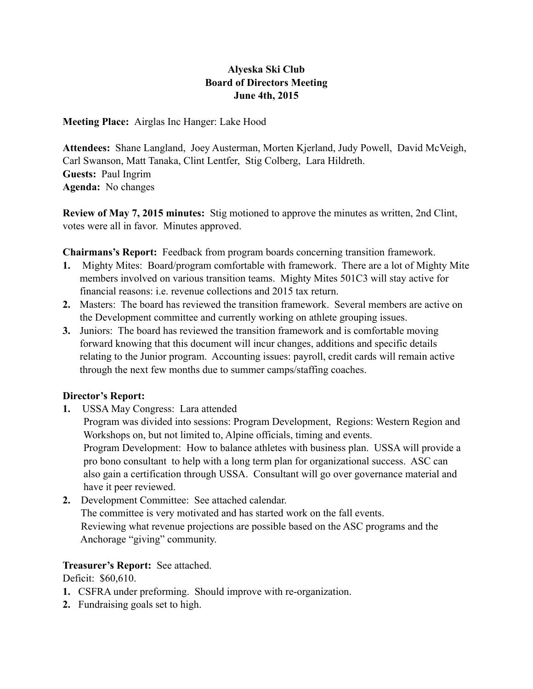# **Alyeska Ski Club Board of Directors Meeting June 4th, 2015**

**Meeting Place:** Airglas Inc Hanger: Lake Hood

**Attendees:** Shane Langland, Joey Austerman, Morten Kjerland, Judy Powell, David McVeigh, Carl Swanson, Matt Tanaka, Clint Lentfer, Stig Colberg, Lara Hildreth. **Guests:** Paul Ingrim **Agenda:** No changes

**Review of May 7, 2015 minutes:** Stig motioned to approve the minutes as written, 2nd Clint, votes were all in favor. Minutes approved.

**Chairmans's Report:** Feedback from program boards concerning transition framework.

- **1.** Mighty Mites: Board/program comfortable with framework. There are a lot of Mighty Mite members involved on various transition teams. Mighty Mites 501C3 will stay active for financial reasons: i.e. revenue collections and 2015 tax return.
- **2.** Masters: The board has reviewed the transition framework. Several members are active on the Development committee and currently working on athlete grouping issues.
- **3.** Juniors: The board has reviewed the transition framework and is comfortable moving forward knowing that this document will incur changes, additions and specific details relating to the Junior program. Accounting issues: payroll, credit cards will remain active through the next few months due to summer camps/staffing coaches.

# **Director's Report:**

**1.** USSA May Congress: Lara attended

 Program was divided into sessions: Program Development, Regions: Western Region and Workshops on, but not limited to, Alpine officials, timing and events. Program Development: How to balance athletes with business plan. USSA will provide a pro bono consultant to help with a long term plan for organizational success. ASC can also gain a certification through USSA. Consultant will go over governance material and have it peer reviewed.

**2.** Development Committee: See attached calendar. The committee is very motivated and has started work on the fall events. Reviewing what revenue projections are possible based on the ASC programs and the Anchorage "giving" community.

# **Treasurer's Report:** See attached.

Deficit: \$60,610.

- **1.** CSFRA under preforming. Should improve with re-organization.
- **2.** Fundraising goals set to high.